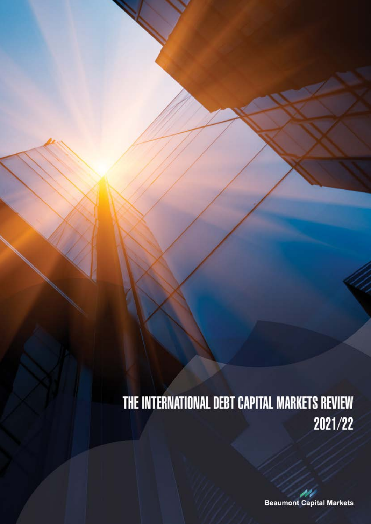# THE INTERNATIONAL DEBT CAPITAL MARKETS REVIEW 2021/22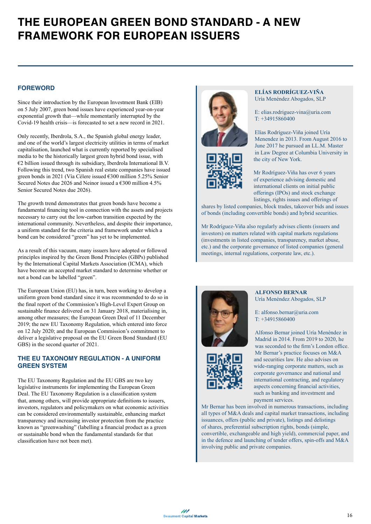## **THE EUROPEAN GREEN BOND STANDARD - A NEW FRAMEWORK FOR EUROPEAN ISSUERS**

#### **FOREWORD**

Since their introduction by the European Investment Bank (EIB) on 5 July 2007, green bond issues have experienced year-on-year exponential growth that—while momentarily interrupted by the Covid-19 health crisis—is forecasted to set a new record in 2021.

Only recently, Iberdrola, S.A., the Spanish global energy leader, and one of the world's largest electricity utilities in terms of market capitalisation, launched what is currently reported by specialised media to be the historically largest green hybrid bond issue, with  $€2$  billion issued through its subsidiary, Iberdrola International B.V. Following this trend, two Spanish real estate companies have issued green bonds in 2021 (Vía Célere issued €300 million 5.25% Senior Secured Notes due 2026 and Neinor issued a  $\epsilon$ 300 million 4.5% Senior Secured Notes due 2026).

The growth trend demonstrates that green bonds have become a fundamental financing tool in connection with the assets and projects necessary to carry out the low-carbon transition expected by the international community. Nevertheless, and despite their importance, a uniform standard for the criteria and framework under which a bond can be considered "green" has yet to be implemented.

As a result of this vacuum, many issuers have adopted or followed principles inspired by the Green Bond Principles (GBPs) published by the International Capital Markets Association (ICMA), which have become an accepted market standard to determine whether or not a bond can be labelled "green".

The European Union (EU) has, in turn, been working to develop a uniform green bond standard since it was recommended to do so in the final report of the Commission's High-Level Expert Group on sustainable finance delivered on 31 January 2018, materialising in, among other measures; the European Green Deal of 11 December 2019; the new EU Taxonomy Regulation, which entered into force on 12 July 2020; and the European Commission's commitment to deliver a legislative proposal on the EU Green Bond Standard (EU GBS) in the second quarter of 2021.

#### **THE EU TAXONOMY REGULATION - A UNIFORM GREEN SYSTEM**

The EU Taxonomy Regulation and the EU GBS are two key legislative instruments for implementing the European Green Deal. The EU Taxonomy Regulation is a classification system that, among others, will provide appropriate definitions to issuers, investors, regulators and policymakers on what economic activities can be considered environmentally sustainable, enhancing market transparency and increasing investor protection from the practice known as "greenwashing" (labelling a financial product as a green or sustainable bond when the fundamental standards for that classification have not been met).





#### **ELÍAS RODRÍGUEZ-VIÑA**  Uría Menéndez Abogados, SLP

E: elias.rodriguez-vina@uria.com T: +34915860400

Elías Rodríguez-Viña joined Uría Menendez in 2013. From August 2016 to June 2017 he pursued an LL.M. Master in Law Degree at Columbia University in the city of New York.

Mr Rodríguez-Viña has over 6 years of experience advising domestic and international clients on initial public offerings (IPOs) and stock exchange listings, rights issues and offerings of

shares by listed companies, block trades, takeover bids and issues of bonds (including convertible bonds) and hybrid securities.

Mr Rodríguez-Viña also regularly advises clients (issuers and investors) on matters related with capital markets regulations (investments in listed companies, transparency, market abuse, etc.) and the corporate governance of listed companies (general meetings, internal regulations, corporate law, etc.).



**ALFONSO BERNAR** Uría Menéndez Abogados, SLP

E: alfonso.bernar@uria.com T: +34915860400

Alfonso Bernar joined Uría Menéndez in Madrid in 2014. From 2019 to 2020, he was seconded to the firm's London office. Mr Bernar's practice focuses on M&A and securities law. He also advises on wide-ranging corporate matters, such as corporate governance and national and international contracting, and regulatory aspects concerning financial activities, such as banking and investment and payment services.

Mr Bernar has been involved in numerous transactions, including all types of M&A deals and capital market transactions, including issuances, offers (public and private), listings and delistings of shares, preferential subscription rights, bonds (simple, convertible, exchangeable and high yield), commercial paper, and in the defence and launching of tender offers, spin-offs and M&A involving public and private companies.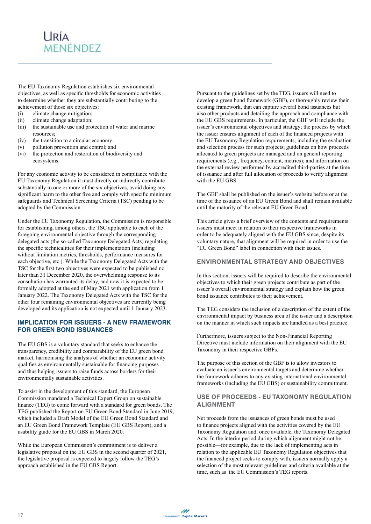### **URÍA** MENÉNDEZ

The EU Taxonomy Regulation establishes six environmental objectives, as well as specific thresholds for economic activities to determine whether they are substantially contributing to the achievement of those six objectives:

- (i) climate change mitigation;
- (ii) climate change adaptation;
- (iii) the sustainable use and protection of water and marine resources;
- (iv) the transition to a circular economy;
- (v) pollution prevention and control; and
- (vi) the protection and restoration of biodiversity and ecosystems.

For any economic activity to be considered in compliance with the EU Taxonomy Regulation it must directly or indirectly contribute substantially to one or more of the six objectives, avoid doing any significant harm to the other five and comply with specific minimum safeguards and Technical Screening Criteria (TSC) pending to be adopted by the Commission.

Under the EU Taxonomy Regulation, the Commission is responsible for establishing, among others, the TSC applicable to each of the foregoing environmental objective through the corresponding delegated acts (the so-called Taxonomy Delegated Acts) regulating the specific technicalities for their implementation (including without limitation metrics, thresholds, performance measures for each objective, etc.). While the Taxonomy Delegated Acts with the TSC for the first two objectives were expected to be published no later than 31 December 2020, the overwhelming response to its consultation has warranted its delay, and now it is expected to be formally adopted at the end of May 2021 with application from 1 January 2022. The Taxonomy Delegated Acts with the TSC for the other four remaining environmental objectives are currently being developed and its application is not expected until 1 January 2023.

#### **IMPLICATION FOR ISSUERS - A NEW FRAMEWORK FOR GREEN BOND ISSUANCES**

The EU GBS is a voluntary standard that seeks to enhance the transparency, credibility and comparability of the EU green bond market, harmonising the analysis of whether an economic activity qualifies as environmentally sustainable for financing purposes and thus helping issuers to raise funds across borders for their environmentally sustainable activities.

To assist in the development of this standard, the European Commission mandated a Technical Expert Group on sustainable finance (TEG) to come forward with a standard for green bonds. The TEG published the Report on EU Green Bond Standard in June 2019, which included a Draft Model of the EU Green Bond Standard and an EU Green Bond Framework Template (EU GBS Report), and a usability guide for the EU GBS in March 2020.

While the European Commission's commitment is to deliver a legislative proposal on the EU GBS in the second quarter of 2021, the legislative proposal is expected to largely follow the TEG's approach established in the EU GBS Report.

Pursuant to the guidelines set by the TEG, issuers will need to develop a green bond framework (GBF), or thoroughly review their existing framework, that can capture several bond issuances but also other products and detailing the approach and compliance with the EU GBS requirements. In particular, the GBF will include the issuer's environmental objectives and strategy; the process by which the issuer ensures alignment of each of the financed projects with the EU Taxonomy Regulation requirements, including the evaluation and selection process for such projects; guidelines on how proceeds allocated to green projects are managed and on general reporting requirements (e.g., frequency, content, metrics); and information on the external review performed by accredited third-parties at the time of issuance and after full allocation of proceeds to verify alignment with the EU GBS.

The GBF shall be published on the issuer's website before or at the time of the issuance of an EU Green Bond and shall remain available until the maturity of the relevant EU Green Bond.

This article gives a brief overview of the contents and requirements issuers must meet in relation to their respective frameworks in order to be adequately aligned with the EU GBS since, despite its voluntary nature, that alignment will be required in order to use the "EU Green Bond" label in connection with their issues.

#### **ENVIRONMENTAL STRATEGY AND OBJECTIVES**

In this section, issuers will be required to describe the environmental objectives to which their green projects contribute as part of the issuer's overall environmental strategy and explain how the green bond issuance contributes to their achievement.

The TEG considers the inclusion of a description of the extent of the environmental impact by business area of the issuer and a description on the manner in which such impacts are handled as a best practice.

Furthermore, issuers subject to the Non-Financial Reporting Directive must include information on their alignment with the EU Taxonomy in their respective GBFs.

The purpose of this section of the GBF is to allow investors to evaluate an issuer's environmental targets and determine whether the framework adheres to any existing international environmental frameworks (including the EU GBS) or sustainability commitment.

#### **USE OF PROCEEDS - EU TAXONOMY REGULATION ALIGNMENT**

Net proceeds from the issuances of green bonds must be used to finance projects aligned with the activities covered by the EU Taxonomy Regulation and, once available, the Taxonomy Delegated Acts. In the interim period during which alignment might not be possible—for example, due to the lack of implementing acts in relation to the applicable EU Taxonomy Regulation objectives that the financed project seeks to comply with, issuers normally apply a selection of the most relevant guidelines and criteria available at the time, such as the EU Commission's TEG reports.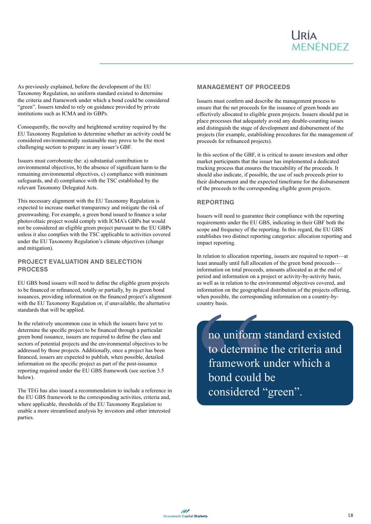As previously explained, before the development of the EU Taxonomy Regulation, no uniform standard existed to determine the criteria and framework under which a bond could be considered "green". Issuers tended to rely on guidance provided by private institutions such as ICMA and its GBPs.

Consequently, the novelty and heightened scrutiny required by the EU Taxonomy Regulation to determine whether an activity could be considered environmentally sustainable may prove to be the most challenging section to prepare in any issuer's GBF.

Issuers must corroborate the: a) substantial contribution to environmental objectives, b) the absence of significant harm to the remaining environmental objectives, c) compliance with minimum safeguards, and d) compliance with the TSC established by the relevant Taxonomy Delegated Acts.

This necessary alignment with the EU Taxonomy Regulation is expected to increase market transparency and mitigate the risk of greenwashing. For example, a green bond issued to finance a solar photovoltaic project would comply with ICMA's GBPs but would not be considered an eligible green project pursuant to the EU GBPs unless it also complies with the TSC applicable to activities covered under the EU Taxonomy Regulation's climate objectives (change and mitigation).

#### **PROJECT EVALUATION AND SELECTION PROCESS**

EU GBS bond issuers will need to define the eligible green projects to be financed or refinanced, totally or partially, by its green bond issuances, providing information on the financed project's alignment with the EU Taxonomy Regulation or, if unavailable, the alternative standards that will be applied.

In the relatively uncommon case in which the issuers have yet to determine the specific project to be financed through a particular green bond issuance, issuers are required to define the class and sectors of potential projects and the environmental objectives to be addressed by those projects. Additionally, once a project has been financed, issuers are expected to publish, when possible, detailed information on the specific project as part of the post-issuance reporting required under the EU GBS framework (see section 3.5 below).

The TEG has also issued a recommendation to include a reference in the EU GBS framework to the corresponding activities, criteria and, where applicable, thresholds of the EU Taxonomy Regulation to enable a more streamlined analysis by investors and other interested parties.

#### **MANAGEMENT OF PROCEEDS**

Issuers must confirm and describe the management process to ensure that the net proceeds for the issuance of green bonds are effectively allocated to eligible green projects. Issuers should put in place processes that adequately avoid any double-counting issues and distinguish the stage of development and disbursement of the projects (for example, establishing procedures for the management of proceeds for refinanced projects).

In this section of the GBF, it is critical to assure investors and other market participants that the issuer has implemented a dedicated tracking process that ensures the traceability of the proceeds. It should also indicate, if possible, the use of such proceeds prior to their disbursement and the expected timeframe for the disbursement of the proceeds to the corresponding eligible green projects.

#### **REPORTING**

Issuers will need to guarantee their compliance with the reporting requirements under the EU GBS, indicating in their GBF both the scope and frequency of the reporting. In this regard, the EU GBS establishes two distinct reporting categories: allocation reporting and impact reporting.

In relation to allocation reporting, issuers are required to report—at least annually until full allocation of the green bond proceeds information on total proceeds, amounts allocated as at the end of period and information on a project or activity-by-activity basis, as well as in relation to the environmental objectives covered, and information on the geographical distribution of the projects offering, when possible, the corresponding information on a country-bycountry basis.

COUNTY Basis.<br>
no uniform<br>
to determine<br>
framework<br>
bond could<br>
considered no uniform standard existed to determine the criteria and framework under which a bond could be considered "green".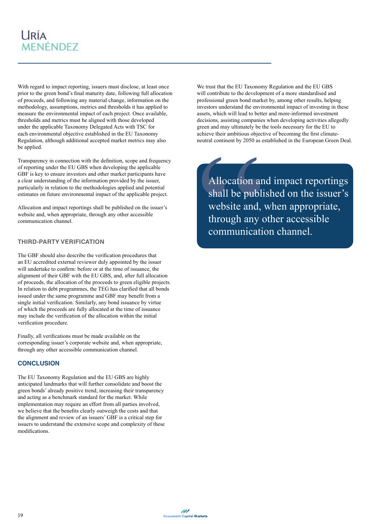

With regard to impact reporting, issuers must disclose, at least once prior to the green bond's final maturity date, following full allocation of proceeds, and following any material change, information on the methodology, assumptions, metrics and thresholds it has applied to measure the environmental impact of each project. Once available, thresholds and metrics must be aligned with those developed under the applicable Taxonomy Delegated Acts with TSC for each environmental objective established in the EU Taxonomy Regulation, although additional accepted market metrics may also be applied.

Transparency in connection with the definition, scope and frequency of reporting under the EU GBS when developing the applicable GBF is key to ensure investors and other market participants have a clear understanding of the information provided by the issuer, particularly in relation to the methodologies applied and potential estimates on future environmental impact of the applicable project.

Allocation and impact reportings shall be published on the issuer's website and, when appropriate, through any other accessible communication channel.

#### **THIRD-PARTY VERIFICATION**

The GBF should also describe the verification procedures that an EU accredited external reviewer duly appointed by the issuer will undertake to confirm: before or at the time of issuance, the alignment of their GBF with the EU GBS, and, after full allocation of proceeds, the allocation of the proceeds to green eligible projects. In relation to debt programmes, the TEG has clarified that all bonds issued under the same programme and GBF may benefit from a single initial verification. Similarly, any bond issuance by virtue of which the proceeds are fully allocated at the time of issuance may include the verification of the allocation within the initial verification procedure.

Finally, all verifications must be made available on the corresponding issuer's corporate website and, when appropriate, through any other accessible communication channel.

#### **CONCLUSION**

The EU Taxonomy Regulation and the EU GBS are highly anticipated landmarks that will further consolidate and boost the green bonds' already positive trend, increasing their transparency and acting as a benchmark standard for the market. While implementation may require an effort from all parties involved, we believe that the benefits clearly outweigh the costs and that the alignment and review of an issuers' GBF is a critical step for issuers to understand the extensive scope and complexity of these modifications.

We trust that the EU Taxonomy Regulation and the EU GBS will contribute to the development of a more standardised and professional green bond market by, among other results, helping investors understand the environmental impact of investing in these assets, which will lead to better and more-informed investment decisions, assisting companies when developing activities allegedly green and may ultimately be the tools necessary for the EU to achieve their ambitious objective of becoming the first climateneutral continent by 2050 as established in the European Green Deal.

Allocation ar<br>shall be publi<br>website and,<br>through any dommunicati Allocation and impact reportings shall be published on the issuer's website and, when appropriate, through any other accessible communication channel.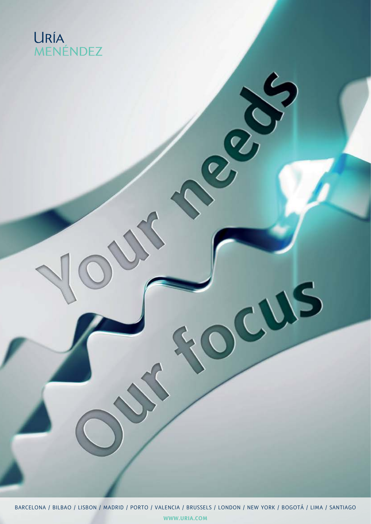# URÍA<br>MENÉNDEZ

BARCELONA / BILBAO / LISBON / MADRID / PORTO / VALENCIA / BRUSSELS / LONDON / NEW YORK / BOGOTÁ / LIMA / SANTIAGO **WWW.URIA.COM**

CUS